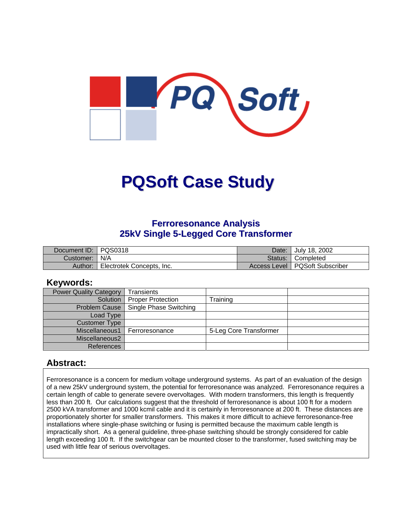

# **PQSoft Case Study**

#### **Ferroresonance Analysis 25kV Single 5-Legged Core Transformer**

| Document ID: PQS0318 |                           | Date:   | July 18, 2002                    |
|----------------------|---------------------------|---------|----------------------------------|
| Customer:   N/A      |                           | Status: | I Completed                      |
| Author:              | Electrotek Concepts, Inc. |         | Access Level   PQSoft Subscriber |

#### **Keywords:**

| <b>Power Quality Category</b> | <b>Transients</b>        |                        |  |
|-------------------------------|--------------------------|------------------------|--|
| Solution                      | <b>Proper Protection</b> | Training               |  |
| <b>Problem Cause</b>          | Single Phase Switching   |                        |  |
| Load Type                     |                          |                        |  |
| <b>Customer Type</b>          |                          |                        |  |
| Miscellaneous1                | Ferroresonance           | 5-Leg Core Transformer |  |
| Miscellaneous2                |                          |                        |  |
| References                    |                          |                        |  |

#### **Abstract:**

Ferroresonance is a concern for medium voltage underground systems. As part of an evaluation of the design of a new 25kV underground system, the potential for ferroresonance was analyzed. Ferroresonance requires a certain length of cable to generate severe overvoltages. With modern transformers, this length is frequently less than 200 ft. Our calculations suggest that the threshold of ferroresonance is about 100 ft for a modern 2500 kVA transformer and 1000 kcmil cable and it is certainly in ferroresonance at 200 ft. These distances are proportionately shorter for smaller transformers. This makes it more difficult to achieve ferroresonance-free installations where single-phase switching or fusing is permitted because the maximum cable length is impractically short. As a general guideline, three-phase switching should be strongly considered for cable length exceeding 100 ft. If the switchgear can be mounted closer to the transformer, fused switching may be used with little fear of serious overvoltages.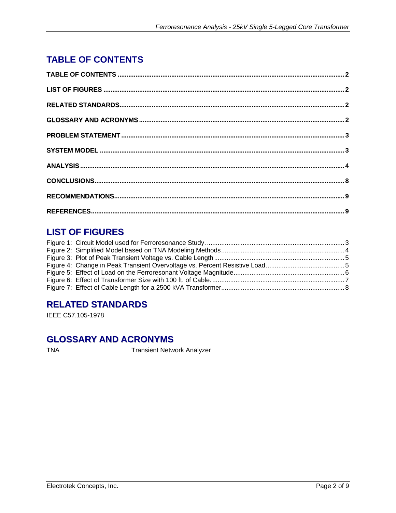# <span id="page-1-0"></span>**TABLE OF CONTENTS**

# **LIST OF FIGURES**

#### **RELATED STANDARDS**

IEEE C57.105-1978

#### **GLOSSARY AND ACRONYMS**

**TNA** 

**Transient Network Analyzer**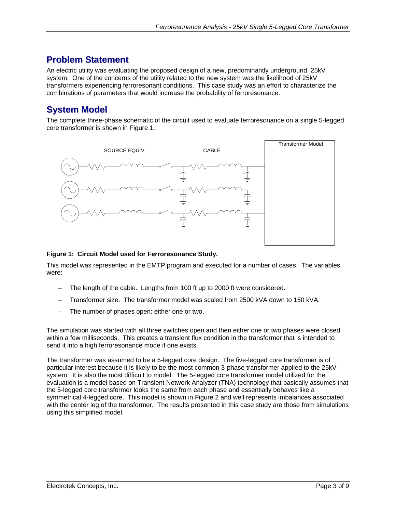#### <span id="page-2-0"></span>**Problem Statement**

An electric utility was evaluating the proposed design of a new, predominantly underground, 25kV system. One of the concerns of the utility related to the new system was the likelihood of 25kV transformers experiencing ferroresonant conditions. This case study was an effort to characterize the combinations of parameters that would increase the probability of ferroresonance.

## **System Model**

The complete three-phase schematic of the circuit used to evaluate ferroresonance on a single 5-legged core transformer is shown in [Figure 1.](#page-2-1)

<span id="page-2-1"></span>

#### **Figure 1: Circuit Model used for Ferroresonance Study.**

This model was represented in the EMTP program and executed for a number of cases. The variables were:

- The length of the cable. Lengths from 100 ft up to 2000 ft were considered.
- − Transformer size. The transformer model was scaled from 2500 kVA down to 150 kVA.
- The number of phases open: either one or two.

The simulation was started with all three switches open and then either one or two phases were closed within a few milliseconds. This creates a transient flux condition in the transformer that is intended to send it into a high ferroresonance mode if one exists.

The transformer was assumed to be a 5-legged core design. The five-legged core transformer is of particular interest because it is likely to be the most common 3-phase transformer applied to the 25kV system. It is also the most difficult to model. The 5-legged core transformer model utilized for the evaluation is a model based on Transient Network Analyzer (TNA) technology that basically assumes that the 5-legged core transformer looks the same from each phase and essentially behaves like a symmetrical 4-legged core. This model is shown in [Figure 2](#page-3-1) and well represents imbalances associated with the center leg of the transformer. The results presented in this case study are those from simulations using this simplified model.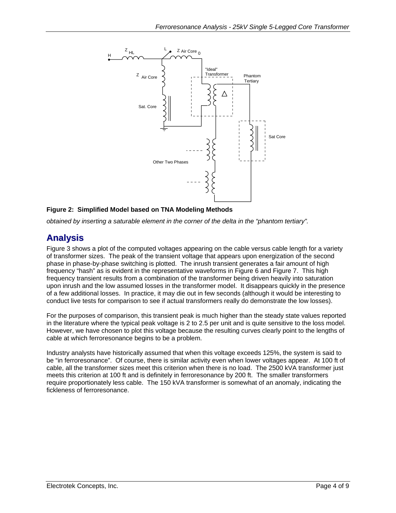<span id="page-3-1"></span><span id="page-3-0"></span>

#### **Figure 2: Simplified Model based on TNA Modeling Methods**

*obtained by inserting a saturable element in the corner of the delta in the "phantom tertiary".*

#### **Analysis**

[Figure 3](#page-4-1) shows a plot of the computed voltages appearing on the cable versus cable length for a variety of transformer sizes. The peak of the transient voltage that appears upon energization of the second phase in phase-by-phase switching is plotted. The inrush transient generates a fair amount of high frequency "hash" as is evident in the representative waveforms in [Figure 6](#page-6-1) and [Figure 7.](#page-7-1) This high frequency transient results from a combination of the transformer being driven heavily into saturation upon inrush and the low assumed losses in the transformer model. It disappears quickly in the presence of a few additional losses. In practice, it may die out in few seconds (although it would be interesting to conduct live tests for comparison to see if actual transformers really do demonstrate the low losses).

For the purposes of comparison, this transient peak is much higher than the steady state values reported in the literature where the typical peak voltage is 2 to 2.5 per unit and is quite sensitive to the loss model. However, we have chosen to plot this voltage because the resulting curves clearly point to the lengths of cable at which ferroresonance begins to be a problem.

Industry analysts have historically assumed that when this voltage exceeds 125%, the system is said to be "in ferroresonance". Of course, there is similar activity even when lower voltages appear. At 100 ft of cable, all the transformer sizes meet this criterion when there is no load. The 2500 kVA transformer just meets this criterion at 100 ft and is definitely in ferroresonance by 200 ft. The smaller transformers require proportionately less cable. The 150 kVA transformer is somewhat of an anomaly, indicating the fickleness of ferroresonance.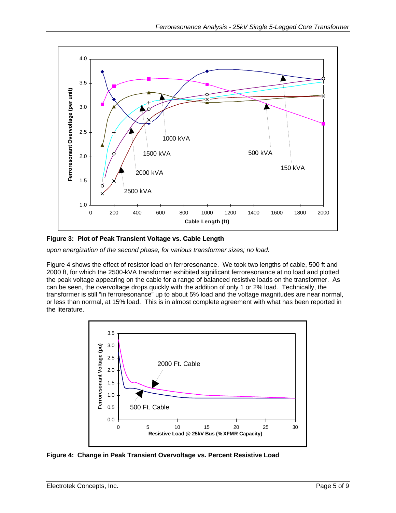<span id="page-4-1"></span><span id="page-4-0"></span>

**Figure 3: Plot of Peak Transient Voltage vs. Cable Length**

*upon energization of the second phase, for various transformer sizes; no load.* 

[Figure 4](#page-4-2) shows the effect of resistor load on ferroresonance. We took two lengths of cable, 500 ft and 2000 ft, for which the 2500-kVA transformer exhibited significant ferroresonance at no load and plotted the peak voltage appearing on the cable for a range of balanced resistive loads on the transformer. As can be seen, the overvoltage drops quickly with the addition of only 1 or 2% load. Technically, the transformer is still "in ferroresonance" up to about 5% load and the voltage magnitudes are near normal, or less than normal, at 15% load. This is in almost complete agreement with what has been reported in the literature.

<span id="page-4-2"></span>

**Figure 4: Change in Peak Transient Overvoltage vs. Percent Resistive Load**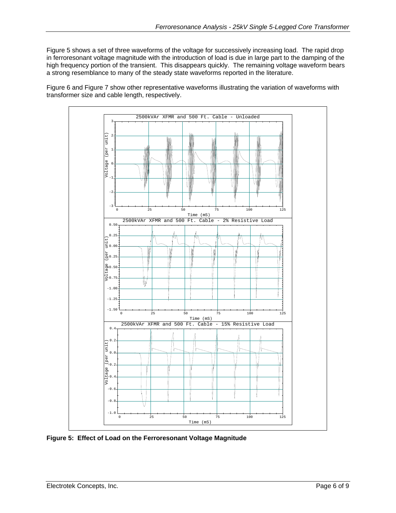<span id="page-5-0"></span>[Figure 5](#page-5-1) shows a set of three waveforms of the voltage for successively increasing load. The rapid drop in ferroresonant voltage magnitude with the introduction of load is due in large part to the damping of the high frequency portion of the transient. This disappears quickly. The remaining voltage waveform bears a strong resemblance to many of the steady state waveforms reported in the literature.

[Figure 6](#page-6-1) and [Figure 7](#page-7-1) show other representative waveforms illustrating the variation of waveforms with transformer size and cable length, respectively.



<span id="page-5-1"></span>**Figure 5: Effect of Load on the Ferroresonant Voltage Magnitude**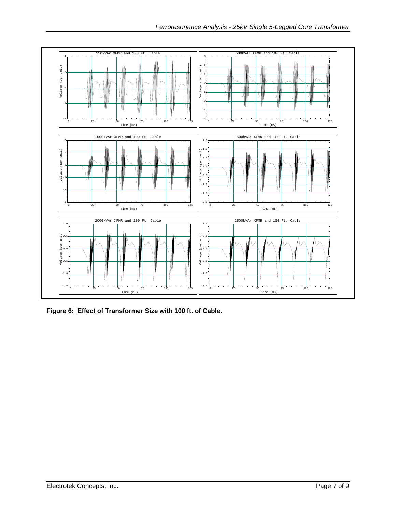<span id="page-6-0"></span>

<span id="page-6-1"></span>**Figure 6: Effect of Transformer Size with 100 ft. of Cable.**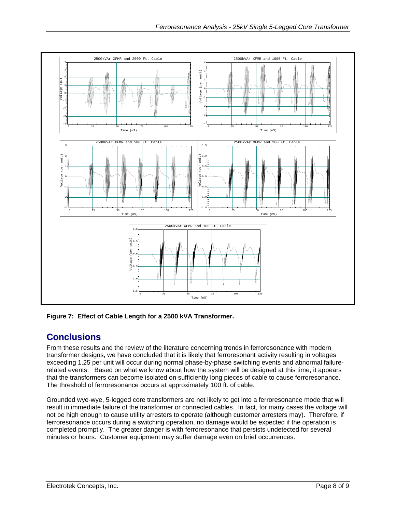<span id="page-7-0"></span>

<span id="page-7-1"></span>**Figure 7: Effect of Cable Length for a 2500 kVA Transformer.** 

#### **Conclusions**

From these results and the review of the literature concerning trends in ferroresonance with modern transformer designs, we have concluded that it is likely that ferroresonant activity resulting in voltages exceeding 1.25 per unit will occur during normal phase-by-phase switching events and abnormal failurerelated events. Based on what we know about how the system will be designed at this time, it appears that the transformers can become isolated on sufficiently long pieces of cable to cause ferroresonance. The threshold of ferroresonance occurs at approximately 100 ft. of cable.

Grounded wye-wye, 5-legged core transformers are not likely to get into a ferroresonance mode that will result in immediate failure of the transformer or connected cables. In fact, for many cases the voltage will not be high enough to cause utility arresters to operate (although customer arresters may). Therefore, if ferroresonance occurs during a switching operation, no damage would be expected if the operation is completed promptly. The greater danger is with ferroresonance that persists undetected for several minutes or hours. Customer equipment may suffer damage even on brief occurrences.